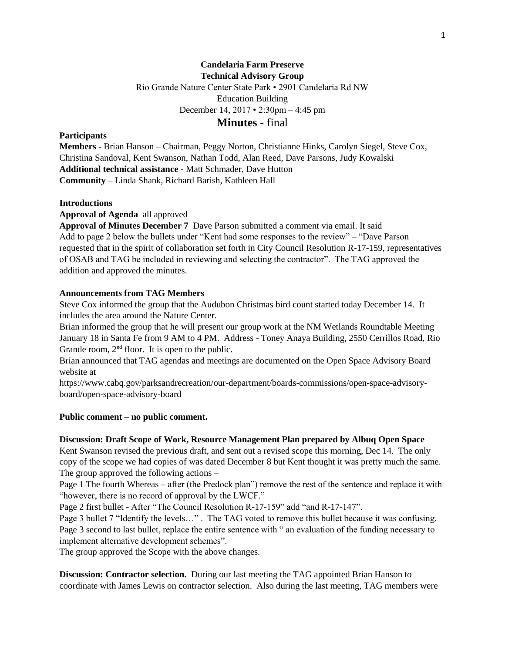## **Candelaria Farm Preserve Technical Advisory Group**

Rio Grande Nature Center State Park • 2901 Candelaria Rd NW

Education Building

December 14, 2017 • 2:30pm – 4:45 pm

# **Minutes -** final

## **Participants**

**Members -** Brian Hanson – Chairman, Peggy Norton, Christianne Hinks, Carolyn Siegel, Steve Cox, Christina Sandoval, Kent Swanson, Nathan Todd, Alan Reed, Dave Parsons, Judy Kowalski **Additional technical assistance -** Matt Schmader, Dave Hutton **Community** – Linda Shank, Richard Barish, Kathleen Hall

### **Introductions**

**Approval of Agenda** all approved

**Approval of Minutes December 7** Dave Parson submitted a comment via email. It said Add to page 2 below the bullets under "Kent had some responses to the review" – "Dave Parson requested that in the spirit of collaboration set forth in City Council Resolution R-17-159, representatives of OSAB and TAG be included in reviewing and selecting the contractor". The TAG approved the addition and approved the minutes.

## **Announcements from TAG Members**

Steve Cox informed the group that the Audubon Christmas bird count started today December 14. It includes the area around the Nature Center.

Brian informed the group that he will present our group work at the NM Wetlands Roundtable Meeting January 18 in Santa Fe from 9 AM to 4 PM. Address - Toney Anaya Building, 2550 Cerrillos Road, Rio Grande room,  $2<sup>nd</sup>$  floor. It is open to the public.

Brian announced that TAG agendas and meetings are documented on the Open Space Advisory Board website at

https://www.cabq.gov/parksandrecreation/our-department/boards-commissions/open-space-advisoryboard/open-space-advisory-board

### **Public comment – no public comment.**

### **Discussion: Draft Scope of Work, Resource Management Plan prepared by Albuq Open Space**

Kent Swanson revised the previous draft, and sent out a revised scope this morning, Dec 14. The only copy of the scope we had copies of was dated December 8 but Kent thought it was pretty much the same. The group approved the following actions –

Page 1 The fourth Whereas – after (the Predock plan") remove the rest of the sentence and replace it with "however, there is no record of approval by the LWCF."

Page 2 first bullet - After "The Council Resolution R-17-159" add "and R-17-147".

Page 3 bullet 7 "Identify the levels…" . The TAG voted to remove this bullet because it was confusing. Page 3 second to last bullet, replace the entire sentence with " an evaluation of the funding necessary to implement alternative development schemes".

The group approved the Scope with the above changes.

**Discussion: Contractor selection.** During our last meeting the TAG appointed Brian Hanson to coordinate with James Lewis on contractor selection. Also during the last meeting, TAG members were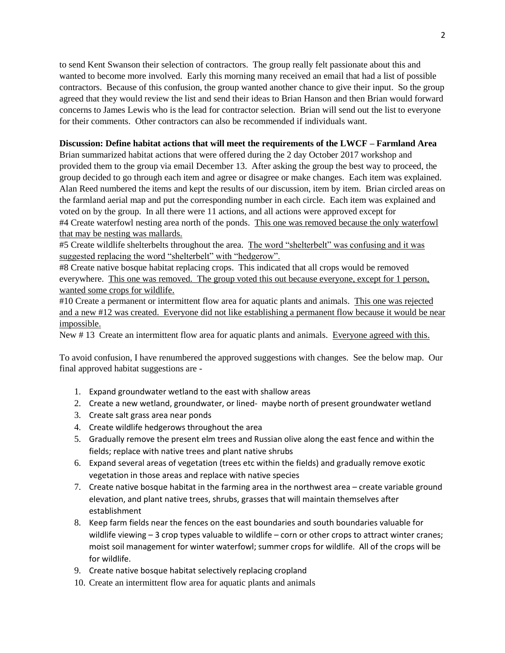to send Kent Swanson their selection of contractors. The group really felt passionate about this and wanted to become more involved. Early this morning many received an email that had a list of possible contractors. Because of this confusion, the group wanted another chance to give their input. So the group agreed that they would review the list and send their ideas to Brian Hanson and then Brian would forward concerns to James Lewis who is the lead for contractor selection. Brian will send out the list to everyone for their comments. Other contractors can also be recommended if individuals want.

#### **Discussion: Define habitat actions that will meet the requirements of the LWCF – Farmland Area**

Brian summarized habitat actions that were offered during the 2 day October 2017 workshop and provided them to the group via email December 13. After asking the group the best way to proceed, the group decided to go through each item and agree or disagree or make changes. Each item was explained. Alan Reed numbered the items and kept the results of our discussion, item by item. Brian circled areas on the farmland aerial map and put the corresponding number in each circle. Each item was explained and voted on by the group. In all there were 11 actions, and all actions were approved except for #4 Create waterfowl nesting area north of the ponds. This one was removed because the only waterfowl that may be nesting was mallards.

#5 Create wildlife shelterbelts throughout the area. The word "shelterbelt" was confusing and it was suggested replacing the word "shelterbelt" with "hedgerow".

#8 Create native bosque habitat replacing crops. This indicated that all crops would be removed everywhere. This one was removed. The group voted this out because everyone, except for 1 person, wanted some crops for wildlife.

#10 Create a permanent or intermittent flow area for aquatic plants and animals. This one was rejected and a new #12 was created. Everyone did not like establishing a permanent flow because it would be near impossible.

New #13 Create an intermittent flow area for aquatic plants and animals. Everyone agreed with this.

To avoid confusion, I have renumbered the approved suggestions with changes. See the below map. Our final approved habitat suggestions are -

- 1. Expand groundwater wetland to the east with shallow areas
- 2. Create a new wetland, groundwater, or lined- maybe north of present groundwater wetland
- 3. Create salt grass area near ponds
- 4. Create wildlife hedgerows throughout the area
- 5. Gradually remove the present elm trees and Russian olive along the east fence and within the fields; replace with native trees and plant native shrubs
- 6. Expand several areas of vegetation (trees etc within the fields) and gradually remove exotic vegetation in those areas and replace with native species
- 7. Create native bosque habitat in the farming area in the northwest area create variable ground elevation, and plant native trees, shrubs, grasses that will maintain themselves after establishment
- 8. Keep farm fields near the fences on the east boundaries and south boundaries valuable for wildlife viewing - 3 crop types valuable to wildlife - corn or other crops to attract winter cranes; moist soil management for winter waterfowl; summer crops for wildlife. All of the crops will be for wildlife.
- 9. Create native bosque habitat selectively replacing cropland
- 10. Create an intermittent flow area for aquatic plants and animals